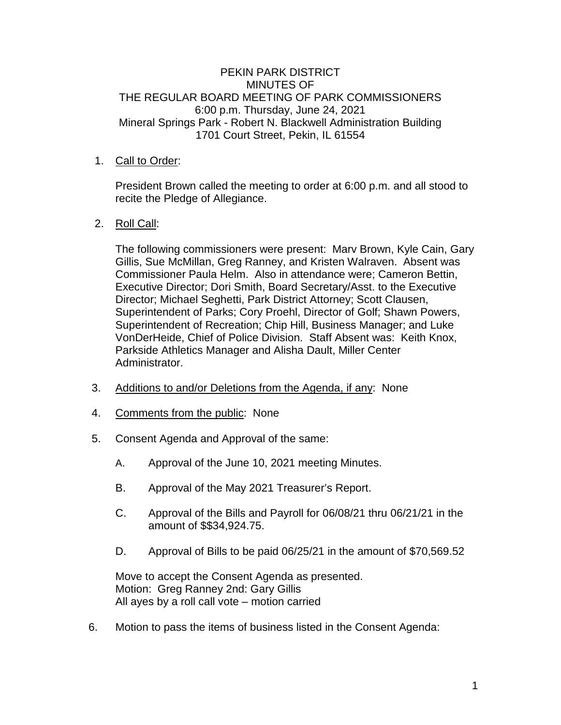# PEKIN PARK DISTRICT MINUTES OF THE REGULAR BOARD MEETING OF PARK COMMISSIONERS 6:00 p.m. Thursday, June 24, 2021 Mineral Springs Park - Robert N. Blackwell Administration Building 1701 Court Street, Pekin, IL 61554

# 1. Call to Order:

President Brown called the meeting to order at 6:00 p.m. and all stood to recite the Pledge of Allegiance.

# 2. Roll Call:

The following commissioners were present: Marv Brown, Kyle Cain, Gary Gillis, Sue McMillan, Greg Ranney, and Kristen Walraven. Absent was Commissioner Paula Helm. Also in attendance were; Cameron Bettin, Executive Director; Dori Smith, Board Secretary/Asst. to the Executive Director; Michael Seghetti, Park District Attorney; Scott Clausen, Superintendent of Parks; Cory Proehl, Director of Golf; Shawn Powers, Superintendent of Recreation; Chip Hill, Business Manager; and Luke VonDerHeide, Chief of Police Division. Staff Absent was: Keith Knox, Parkside Athletics Manager and Alisha Dault, Miller Center Administrator.

- 3. Additions to and/or Deletions from the Agenda, if any: None
- 4. Comments from the public: None
- 5. Consent Agenda and Approval of the same:
	- A. Approval of the June 10, 2021 meeting Minutes.
	- B. Approval of the May 2021 Treasurer's Report.
	- C. Approval of the Bills and Payroll for 06/08/21 thru 06/21/21 in the amount of \$\$34,924.75.
	- D. Approval of Bills to be paid 06/25/21 in the amount of \$70,569.52

Move to accept the Consent Agenda as presented. Motion: Greg Ranney 2nd: Gary Gillis All ayes by a roll call vote – motion carried

6. Motion to pass the items of business listed in the Consent Agenda: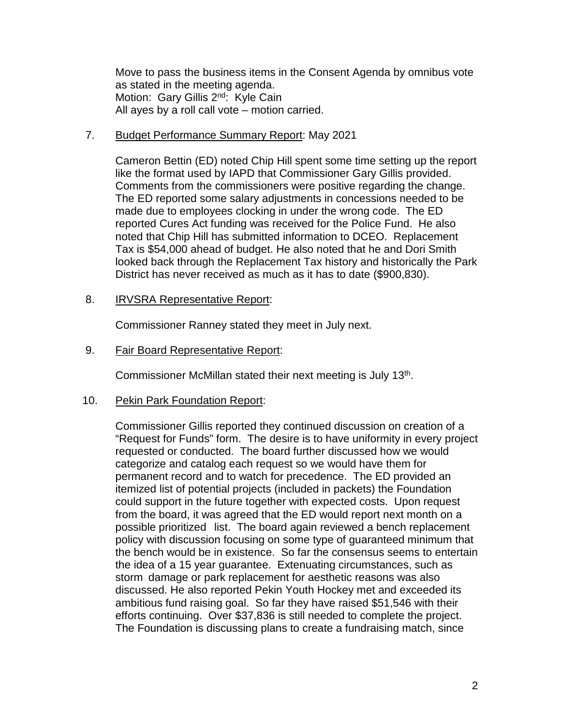Move to pass the business items in the Consent Agenda by omnibus vote as stated in the meeting agenda. Motion: Gary Gillis 2<sup>nd</sup>: Kyle Cain All ayes by a roll call vote – motion carried.

### 7. Budget Performance Summary Report: May 2021

Cameron Bettin (ED) noted Chip Hill spent some time setting up the report like the format used by IAPD that Commissioner Gary Gillis provided. Comments from the commissioners were positive regarding the change. The ED reported some salary adjustments in concessions needed to be made due to employees clocking in under the wrong code. The ED reported Cures Act funding was received for the Police Fund. He also noted that Chip Hill has submitted information to DCEO. Replacement Tax is \$54,000 ahead of budget. He also noted that he and Dori Smith looked back through the Replacement Tax history and historically the Park District has never received as much as it has to date (\$900,830).

### 8. IRVSRA Representative Report:

Commissioner Ranney stated they meet in July next.

### 9. Fair Board Representative Report:

Commissioner McMillan stated their next meeting is July 13<sup>th</sup>.

#### 10. Pekin Park Foundation Report:

Commissioner Gillis reported they continued discussion on creation of a "Request for Funds" form. The desire is to have uniformity in every project requested or conducted. The board further discussed how we would categorize and catalog each request so we would have them for permanent record and to watch for precedence. The ED provided an itemized list of potential projects (included in packets) the Foundation could support in the future together with expected costs. Upon request from the board, it was agreed that the ED would report next month on a possible prioritized list. The board again reviewed a bench replacement policy with discussion focusing on some type of guaranteed minimum that the bench would be in existence. So far the consensus seems to entertain the idea of a 15 year guarantee. Extenuating circumstances, such as storm damage or park replacement for aesthetic reasons was also discussed. He also reported Pekin Youth Hockey met and exceeded its ambitious fund raising goal. So far they have raised \$51,546 with their efforts continuing. Over \$37,836 is still needed to complete the project. The Foundation is discussing plans to create a fundraising match, since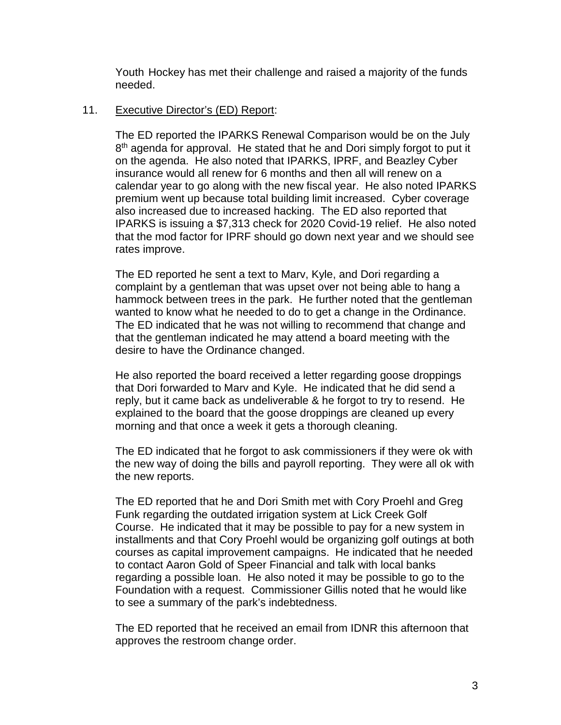Youth Hockey has met their challenge and raised a majority of the funds needed.

# 11. Executive Director's (ED) Report:

The ED reported the IPARKS Renewal Comparison would be on the July 8<sup>th</sup> agenda for approval. He stated that he and Dori simply forgot to put it on the agenda. He also noted that IPARKS, IPRF, and Beazley Cyber insurance would all renew for 6 months and then all will renew on a calendar year to go along with the new fiscal year. He also noted IPARKS premium went up because total building limit increased. Cyber coverage also increased due to increased hacking. The ED also reported that IPARKS is issuing a \$7,313 check for 2020 Covid-19 relief. He also noted that the mod factor for IPRF should go down next year and we should see rates improve.

The ED reported he sent a text to Marv, Kyle, and Dori regarding a complaint by a gentleman that was upset over not being able to hang a hammock between trees in the park. He further noted that the gentleman wanted to know what he needed to do to get a change in the Ordinance. The ED indicated that he was not willing to recommend that change and that the gentleman indicated he may attend a board meeting with the desire to have the Ordinance changed.

He also reported the board received a letter regarding goose droppings that Dori forwarded to Marv and Kyle. He indicated that he did send a reply, but it came back as undeliverable & he forgot to try to resend. He explained to the board that the goose droppings are cleaned up every morning and that once a week it gets a thorough cleaning.

The ED indicated that he forgot to ask commissioners if they were ok with the new way of doing the bills and payroll reporting. They were all ok with the new reports.

The ED reported that he and Dori Smith met with Cory Proehl and Greg Funk regarding the outdated irrigation system at Lick Creek Golf Course. He indicated that it may be possible to pay for a new system in installments and that Cory Proehl would be organizing golf outings at both courses as capital improvement campaigns. He indicated that he needed to contact Aaron Gold of Speer Financial and talk with local banks regarding a possible loan. He also noted it may be possible to go to the Foundation with a request. Commissioner Gillis noted that he would like to see a summary of the park's indebtedness.

The ED reported that he received an email from IDNR this afternoon that approves the restroom change order.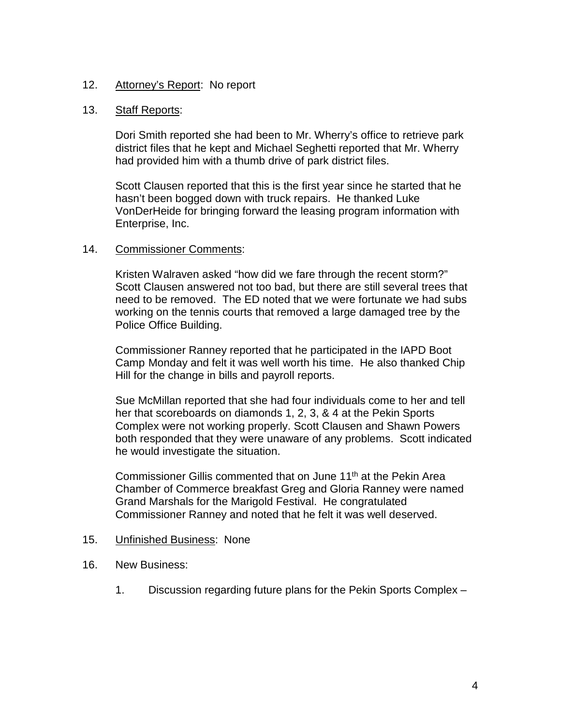# 12. Attorney's Report: No report

### 13. Staff Reports:

Dori Smith reported she had been to Mr. Wherry's office to retrieve park district files that he kept and Michael Seghetti reported that Mr. Wherry had provided him with a thumb drive of park district files.

Scott Clausen reported that this is the first year since he started that he hasn't been bogged down with truck repairs. He thanked Luke VonDerHeide for bringing forward the leasing program information with Enterprise, Inc.

### 14. Commissioner Comments:

Kristen Walraven asked "how did we fare through the recent storm?" Scott Clausen answered not too bad, but there are still several trees that need to be removed. The ED noted that we were fortunate we had subs working on the tennis courts that removed a large damaged tree by the Police Office Building.

Commissioner Ranney reported that he participated in the IAPD Boot Camp Monday and felt it was well worth his time. He also thanked Chip Hill for the change in bills and payroll reports.

Sue McMillan reported that she had four individuals come to her and tell her that scoreboards on diamonds 1, 2, 3, & 4 at the Pekin Sports Complex were not working properly. Scott Clausen and Shawn Powers both responded that they were unaware of any problems. Scott indicated he would investigate the situation.

Commissioner Gillis commented that on June 11<sup>th</sup> at the Pekin Area Chamber of Commerce breakfast Greg and Gloria Ranney were named Grand Marshals for the Marigold Festival. He congratulated Commissioner Ranney and noted that he felt it was well deserved.

#### 15. Unfinished Business: None

- 16. New Business:
	- 1. Discussion regarding future plans for the Pekin Sports Complex –